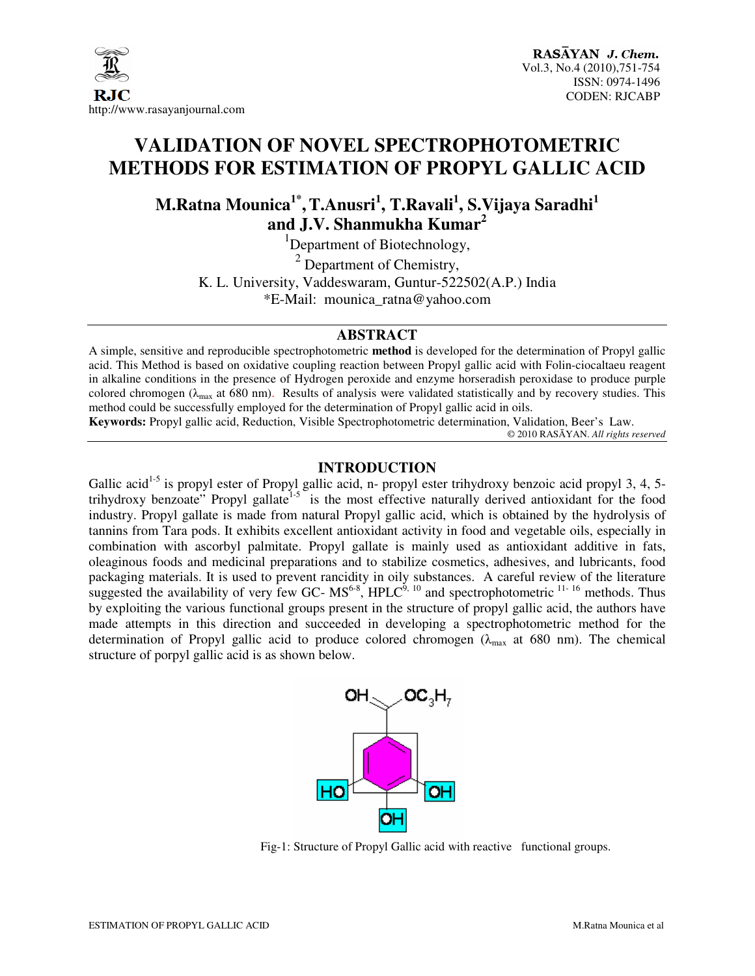

# **VALIDATION OF NOVEL SPECTROPHOTOMETRIC METHODS FOR ESTIMATION OF PROPYL GALLIC ACID**

**M.Ratna Mounica1\* ,T.Anusri<sup>1</sup> , T.Ravali<sup>1</sup> , S.Vijaya Saradhi<sup>1</sup> and J.V. Shanmukha Kumar<sup>2</sup>**

 ${}^{1}$ Department of Biotechnology,

 $2$  Department of Chemistry,

K. L. University, Vaddeswaram, Guntur-522502(A.P.) India

\*E-Mail: mounica\_ratna@yahoo.com

#### **ABSTRACT**

A simple, sensitive and reproducible spectrophotometric **method** is developed for the determination of Propyl gallic acid. This Method is based on oxidative coupling reaction between Propyl gallic acid with Folin-ciocaltaeu reagent in alkaline conditions in the presence of Hydrogen peroxide and enzyme horseradish peroxidase to produce purple colored chromogen ( $\lambda_{\text{max}}$  at 680 nm). Results of analysis were validated statistically and by recovery studies. This method could be successfully employed for the determination of Propyl gallic acid in oils.

**Keywords:** Propyl gallic acid, Reduction, Visible Spectrophotometric determination, Validation, Beer's Law. © 2010 RASĀYAN. *All rights reserved*

### **INTRODUCTION**

Gallic acid<sup>1-5</sup> is propyl ester of Propyl gallic acid, n- propyl ester trihydroxy benzoic acid propyl 3, 4, 5trihydroxy benzoate" Propyl gallate<sup>1-5</sup> is the most effective naturally derived antioxidant for the food industry. Propyl gallate is made from natural Propyl gallic acid, which is obtained by the hydrolysis of tannins from Tara pods. It exhibits excellent antioxidant activity in food and vegetable oils, especially in combination with ascorbyl palmitate. Propyl gallate is mainly used as antioxidant additive in fats, oleaginous foods and medicinal preparations and to stabilize cosmetics, adhesives, and lubricants, food packaging materials. It is used to prevent rancidity in oily substances. A careful review of the literature suggested the availability of very few GC-  $MS^{6.8}$ , HPLC<sup>9, 10</sup> and spectrophotometric <sup>11- 16</sup> methods. Thus by exploiting the various functional groups present in the structure of propyl gallic acid, the authors have made attempts in this direction and succeeded in developing a spectrophotometric method for the determination of Propyl gallic acid to produce colored chromogen ( $\lambda_{\text{max}}$  at 680 nm). The chemical structure of porpyl gallic acid is as shown below.



Fig-1: Structure of Propyl Gallic acid with reactive functional groups.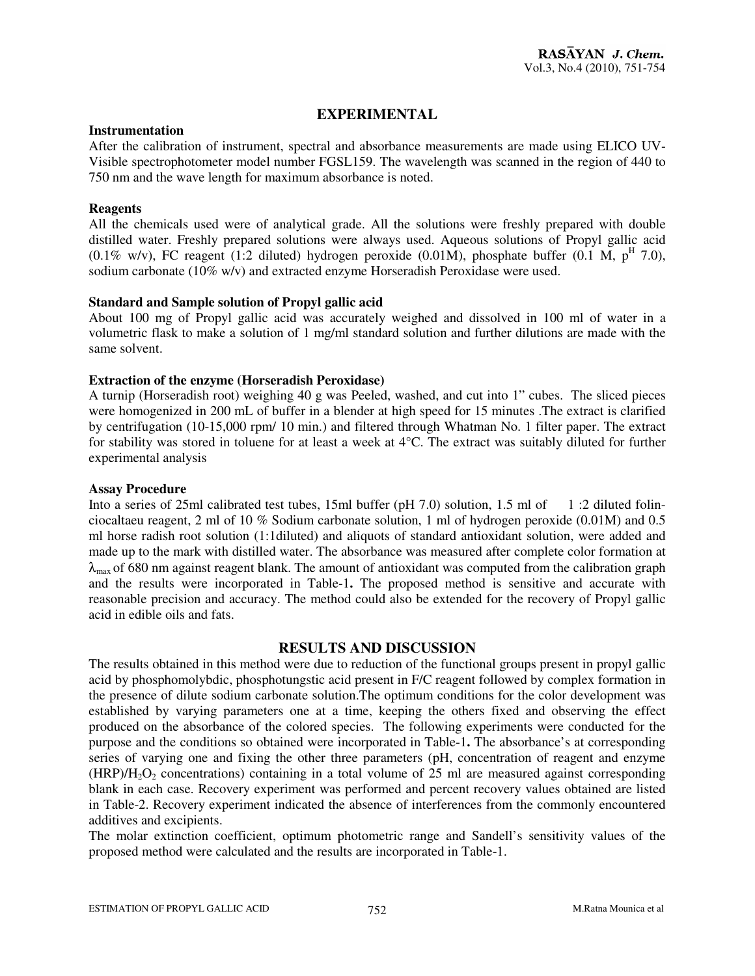# **EXPERIMENTAL**

#### **Instrumentation**

After the calibration of instrument, spectral and absorbance measurements are made using ELICO UV-Visible spectrophotometer model number FGSL159. The wavelength was scanned in the region of 440 to 750 nm and the wave length for maximum absorbance is noted.

#### **Reagents**

All the chemicals used were of analytical grade. All the solutions were freshly prepared with double distilled water. Freshly prepared solutions were always used. Aqueous solutions of Propyl gallic acid  $(0.1\% \text{ w/v})$ , FC reagent  $(1.2 \text{ diluted})$  hydrogen peroxide  $(0.01\text{M})$ , phosphate buffer  $(0.1 \text{ M}, p^{\text{H}} 7.0)$ , sodium carbonate (10% w/v) and extracted enzyme Horseradish Peroxidase were used.

#### **Standard and Sample solution of Propyl gallic acid**

About 100 mg of Propyl gallic acid was accurately weighed and dissolved in 100 ml of water in a volumetric flask to make a solution of 1 mg/ml standard solution and further dilutions are made with the same solvent.

#### **Extraction of the enzyme (Horseradish Peroxidase)**

A turnip (Horseradish root) weighing 40 g was Peeled, washed, and cut into 1" cubes. The sliced pieces were homogenized in 200 mL of buffer in a blender at high speed for 15 minutes .The extract is clarified by centrifugation (10-15,000 rpm/ 10 min.) and filtered through Whatman No. 1 filter paper. The extract for stability was stored in toluene for at least a week at 4°C. The extract was suitably diluted for further experimental analysis

#### **Assay Procedure**

Into a series of 25ml calibrated test tubes, 15ml buffer (pH 7.0) solution, 1.5 ml of 1 :2 diluted folinciocaltaeu reagent, 2 ml of 10 % Sodium carbonate solution, 1 ml of hydrogen peroxide (0.01M) and 0.5 ml horse radish root solution (1:1diluted) and aliquots of standard antioxidant solution, were added and made up to the mark with distilled water. The absorbance was measured after complete color formation at  $\lambda_{\text{max}}$  of 680 nm against reagent blank. The amount of antioxidant was computed from the calibration graph and the results were incorporated in Table-1**.** The proposed method is sensitive and accurate with reasonable precision and accuracy. The method could also be extended for the recovery of Propyl gallic acid in edible oils and fats.

#### **RESULTS AND DISCUSSION**

The results obtained in this method were due to reduction of the functional groups present in propyl gallic acid by phosphomolybdic, phosphotungstic acid present in F/C reagent followed by complex formation in the presence of dilute sodium carbonate solution.The optimum conditions for the color development was established by varying parameters one at a time, keeping the others fixed and observing the effect produced on the absorbance of the colored species. The following experiments were conducted for the purpose and the conditions so obtained were incorporated in Table-1**.** The absorbance's at corresponding series of varying one and fixing the other three parameters (pH, concentration of reagent and enzyme  $(HRP)/H_2O_2$  concentrations) containing in a total volume of 25 ml are measured against corresponding blank in each case. Recovery experiment was performed and percent recovery values obtained are listed in Table-2. Recovery experiment indicated the absence of interferences from the commonly encountered additives and excipients.

The molar extinction coefficient, optimum photometric range and Sandell's sensitivity values of the proposed method were calculated and the results are incorporated in Table-1.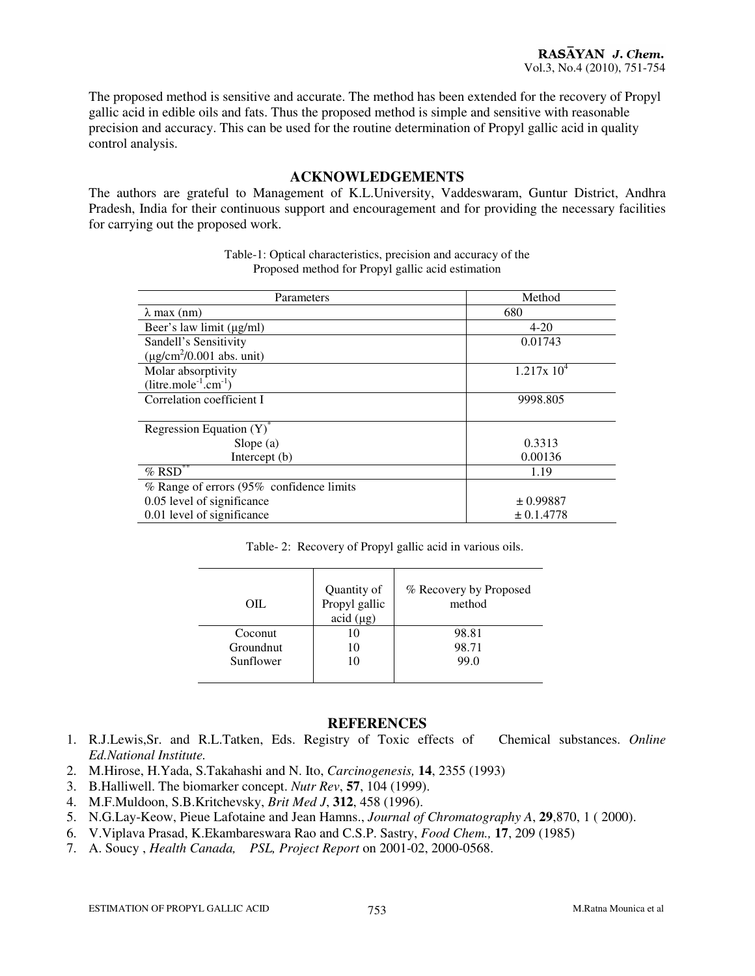The proposed method is sensitive and accurate. The method has been extended for the recovery of Propyl gallic acid in edible oils and fats. Thus the proposed method is simple and sensitive with reasonable precision and accuracy. This can be used for the routine determination of Propyl gallic acid in quality control analysis.

# **ACKNOWLEDGEMENTS**

The authors are grateful to Management of K.L.University, Vaddeswaram, Guntur District, Andhra Pradesh, India for their continuous support and encouragement and for providing the necessary facilities for carrying out the proposed work.

| Parameters                                 | Method         |
|--------------------------------------------|----------------|
| $\lambda$ max (nm)                         | 680            |
| Beer's law limit $(\mu g/ml)$              | $4 - 20$       |
| Sandell's Sensitivity                      | 0.01743        |
| $(\mu$ g/cm <sup>2</sup> /0.001 abs. unit) |                |
| Molar absorptivity                         | $1.217x 10^4$  |
| $(litre.mole^{-1}.cm^{-1})$                |                |
| Correlation coefficient I                  | 9998.805       |
|                                            |                |
| Regression Equation $(Y)^{\hat{}}$         |                |
| Slope $(a)$                                | 0.3313         |
| Intercept (b)                              | 0.00136        |
| $%$ RSD <sup>**</sup>                      | 1.19           |
| % Range of errors (95% confidence limits   |                |
| 0.05 level of significance                 | $\pm 0.99887$  |
| 0.01 level of significance                 | $\pm 0.1.4778$ |

Table-1: Optical characteristics, precision and accuracy of the Proposed method for Propyl gallic acid estimation

| OIL                           | Quantity of<br>Propyl gallic<br>acid (µg) | % Recovery by Proposed<br>method |
|-------------------------------|-------------------------------------------|----------------------------------|
| Coconut                       |                                           | 98.81                            |
| <b>Groundnut</b><br>Sunflower |                                           | 98.71<br>99.0                    |
|                               |                                           |                                  |

#### **REFERENCES**

- 1. R.J.Lewis,Sr. and R.L.Tatken, Eds. Registry of Toxic effects of Chemical substances. *Online Ed.National Institute.*
- 2. M.Hirose, H.Yada, S.Takahashi and N. Ito, *Carcinogenesis,* **14**, 2355 (1993)
- 3. B.Halliwell. The biomarker concept. *Nutr Rev*, **57**, 104 (1999).
- 4. M.F.Muldoon, S.B.Kritchevsky, *Brit Med J*, **312**, 458 (1996).
- 5. N.G.Lay-Keow, Pieue Lafotaine and Jean Hamns., *Journal of Chromatography A*, **29**,870, 1 ( 2000).
- 6. V.Viplava Prasad, K.Ekambareswara Rao and C.S.P. Sastry, *Food Chem.,* **17**, 209 (1985)
- 7. A. Soucy , *Health Canada, PSL, Project Report* on 2001-02, 2000-0568.